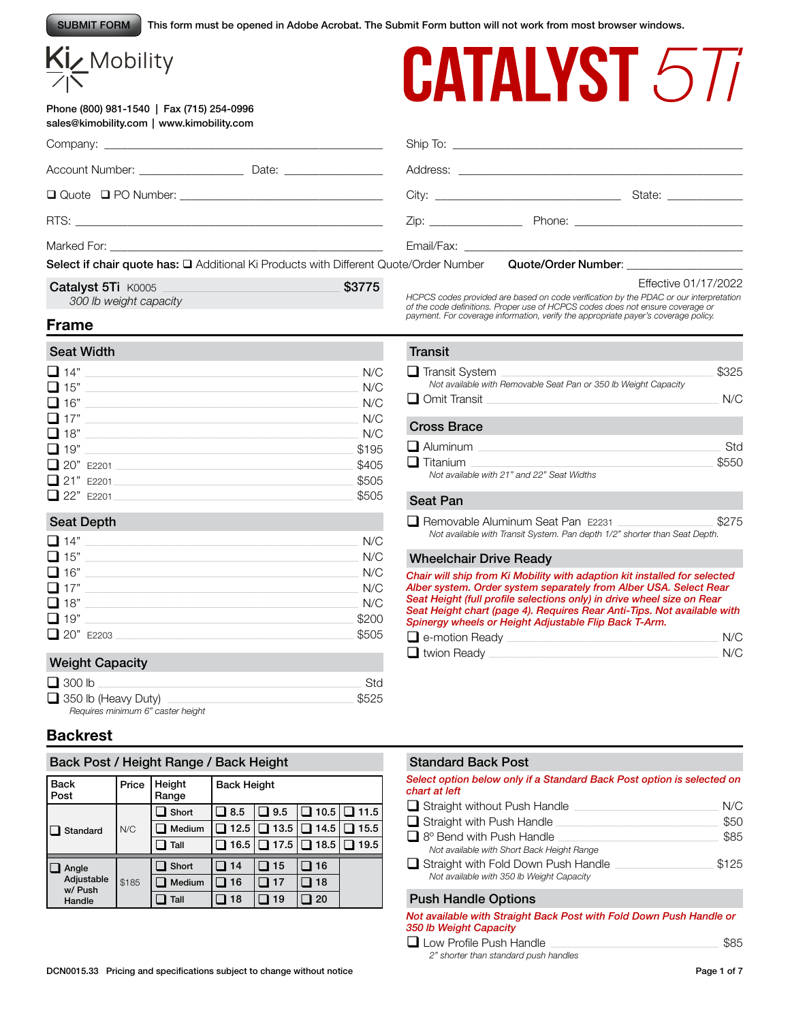This form must be opened in Adobe Acrobat. The Submit Form button will not work from most browser windows. SUBMIT FORM

# Kiz Mobility

#### Phone (800) 981-1540 | Fax (715) 254-0996 sales@kimobility.com | www.kimobility.com



|                                                                                       |        |                   |                                                                                                                                                                                                                               | State: ______________ |
|---------------------------------------------------------------------------------------|--------|-------------------|-------------------------------------------------------------------------------------------------------------------------------------------------------------------------------------------------------------------------------|-----------------------|
|                                                                                       |        | $\mathsf{Zip:}\n$ |                                                                                                                                                                                                                               |                       |
|                                                                                       |        |                   |                                                                                                                                                                                                                               |                       |
| Select if chair quote has: □ Additional Ki Products with Different Quote/Order Number |        |                   | Quote/Order Number: Note that the control of the control of the control of the control of the control of the control of the control of the control of the control of the control of the control of the control of the control |                       |
| Catalyst 5Ti K0005 Nine State Catalyst 5Ti K0005                                      | \$3775 |                   |                                                                                                                                                                                                                               | Effective 01/17/2022  |

*HCPCS codes provided are based on code verification by the PDAC or our interpretation of the code definitions. Proper use of HCPCS codes does not ensure coverage or payment. For coverage information, verify the appropriate payer's coverage policy.*

# **Frame**

*300 lb weight capacity*

| <b>Seat Width</b> |       |
|-------------------|-------|
| $\Box$ 14"        | N/C   |
| $\Box$ 15" $\Box$ | N/C   |
| $\Box$ 16"        | N/C   |
| $\square$ 17"     | N/C   |
| $\Box$ 18" $\_\_$ | N/C   |
| $\Box$ 19"        | \$195 |
| 20" E2201         | \$405 |
| 21" E2201         | \$505 |
| $\Box$ 22" E2201  | \$505 |

# Seat Depth

| $\Box$ 14" | N/C   |
|------------|-------|
| $\Box$ 15" | N/C   |
| $\Box$ 16" | N/C   |
| $\Box$ 17" | N/C   |
| $\Box$ 18" | N/C   |
| $\Box$ 19" | \$200 |
| 20" E2203  | \$505 |

# Weight Capacity

| $\Box$ 300 lb                     | Std   |
|-----------------------------------|-------|
| $\Box$ 350 lb (Heavy Duty)        | \$525 |
| Requires minimum 6" caster height |       |

# **Backrest**

# Back Post / Height Range / Back Height

| l Back<br>l Post      | Price | Height<br>Range | <b>Back Height</b> |      |             |      |
|-----------------------|-------|-----------------|--------------------|------|-------------|------|
| Standard              | N/C   | Short           | 8.5                | 9.5  | $\Box$ 10.5 | 11.5 |
|                       |       | Medium          | 12.5               | 13.5 | $\Box$ 14.5 | 15.5 |
|                       |       | Tall            | 16.5               | 17.5 | コ 18.5      | 19.5 |
| Angle                 |       | Short           | 14                 | 15   | 16          |      |
| Adjustable<br>w/ Push | \$185 | Medium          | 16                 | 17   | 18          |      |
| Handle                |       | Tall            | 18                 | 19   | 20          |      |

# **Transit**

| $\Box$ Transit System<br>Not available with Removable Seat Pan or 350 lb Weight Capacity<br>$\Box$ Omit Transit | \$325<br>N/C |
|-----------------------------------------------------------------------------------------------------------------|--------------|
| <b>Cross Brace</b>                                                                                              |              |
| $\Box$ Aluminum<br>$\Box$ Titanium<br>Not available with 21" and 22" Seat Widths                                | Std<br>\$550 |
|                                                                                                                 |              |

#### Seat Pan

| Removable Aluminum Seat Pan E2231 |                                                                            | \$275 |
|-----------------------------------|----------------------------------------------------------------------------|-------|
|                                   | Not available with Transit System. Pan depth 1/2" shorter than Seat Depth. |       |

# Wheelchair Drive Ready

*Chair will ship from Ki Mobility with adaption kit installed for selected Alber system. Order system separately from Alber USA. Select Rear Seat Height (full profile selections only) in drive wheel size on Rear Seat Height chart (page 4). Requires Rear Anti-Tips. Not available with Spinergy wheels or Height Adjustable Flip Back T-Arm.*

| $\Box$ e-motion Ready | N/C |
|-----------------------|-----|
| $\Box$ twion Ready    | N/C |

# Standard Back Post

*Select option below only if a Standard Back Post option is selected on chart at left*

| $\Box$ Straight without Push Handle        | N/C   |
|--------------------------------------------|-------|
| $\Box$ Straight with Push Handle           | \$50  |
| $\Box$ 8° Bend with Push Handle            | \$85  |
| Not available with Short Back Height Range |       |
| Straight with Fold Down Push Handle        | \$125 |
| Not available with 350 lb Weight Capacity  |       |

# Push Handle Options

| Not available with Straight Back Post with Fold Down Push Handle or |  |
|---------------------------------------------------------------------|--|
| 350 lb Weight Capacity                                              |  |

| $\Box$ Low Profile Push Handle        | \$85 |
|---------------------------------------|------|
| 2" shorter than standard push handles |      |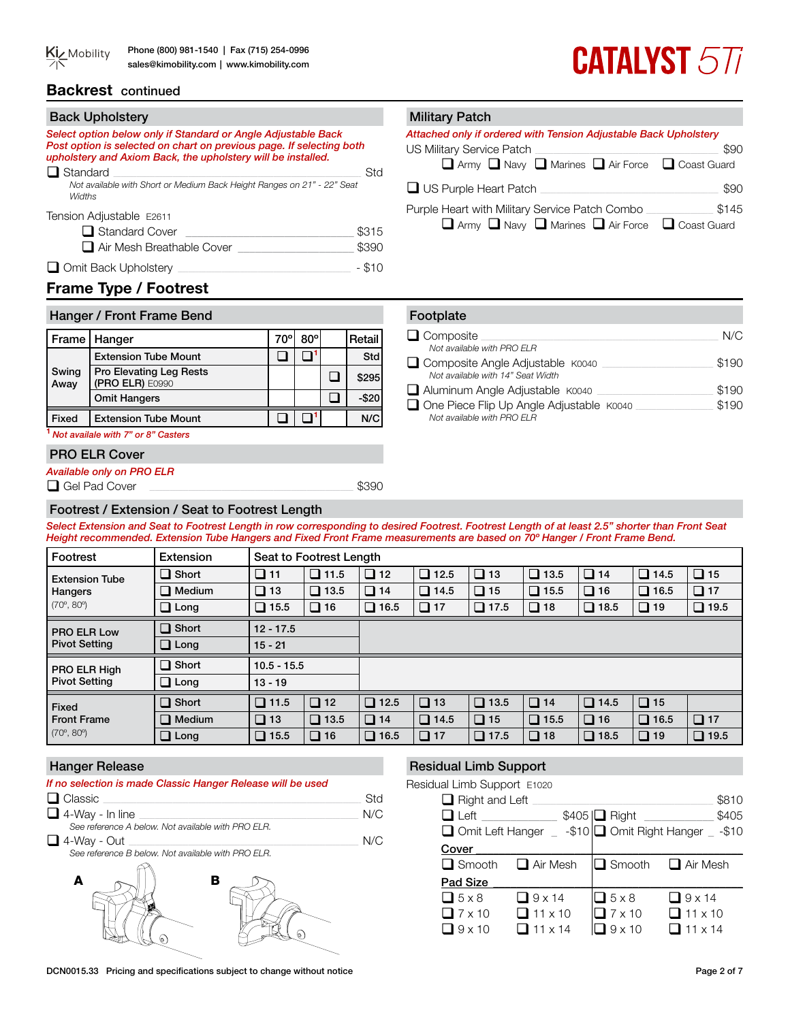# **Backrest** continued

# **CATALYST 577**

#### Back Upholstery **Military Patch** *Select option below only if Standard or Angle Adjustable Back Post option is selected on chart on previous page. If selecting both upholstery and Axiom Back, the upholstery will be installed.* q Standard \_\_\_\_\_\_\_\_\_\_\_\_\_\_\_\_\_\_\_\_\_\_\_\_\_\_\_\_\_\_\_\_\_\_\_\_\_\_\_\_\_\_\_\_\_\_\_\_\_\_\_\_\_\_\_\_\_\_\_\_\_\_\_\_\_\_\_\_\_\_\_\_\_\_\_\_\_\_\_\_\_\_\_\_\_\_\_\_\_\_\_\_\_\_\_\_ Std *Not available with Short or Medium Back Height Ranges on 21" - 22" Seat Widths* Tension Adjustable E2611  $\Box$  Standard Cover \$315 q Air Mesh Breathable Cover \_\_\_\_\_\_\_\_\_\_\_\_\_\_\_\_\_\_\_\_ \$390 q Omit Back Upholstery \_\_\_\_\_\_\_\_\_\_\_\_\_\_\_\_\_\_\_\_\_\_\_\_\_\_\_\_\_\_\_\_\_\_\_\_\_\_\_\_\_\_\_\_\_\_\_\_\_\_\_\_\_\_\_\_\_\_\_\_\_\_\_\_\_\_\_ - \$10 *Attached only if ordered with Tension Adjustable Back Upholstery* US Military Service Patch \_\_\_\_\_\_\_\_\_\_\_\_\_\_\_\_\_\_\_\_\_\_\_\_\_\_\_\_\_\_\_\_\_\_\_\_\_\_\_\_\_\_\_\_\_\_\_\_\_\_\_\_\_\_\_\_\_\_\_\_\_\_\_\_\_\_\_\_\_\_\_ \$90 **Q** Army **Q** Navy **Q** Marines **Q** Air Force **Q** Coast Guard q US Purple Heart Patch \_\_\_\_\_\_\_\_\_\_\_\_\_\_\_\_\_\_\_\_\_\_\_\_\_\_\_\_\_\_\_\_\_\_\_\_\_\_\_\_\_\_\_\_\_\_\_\_\_\_\_\_\_\_\_\_\_\_\_\_\_\_\_\_\_\_\_\_\_ \$90 Purple Heart with Military Service Patch Combo \_\_\_\_\_\_\_\_\_\_\_\_\_\_\_\_\_\_\_\_\_\_\_\_\_\_ \$145 **Q** Army **Q** Navy **Q** Marines **Q** Air Force **Q** Coast Guard

# **Frame Type / Footrest**

| Hanger / Front Frame Bend |                                            |     |            |  |          |
|---------------------------|--------------------------------------------|-----|------------|--|----------|
|                           | Frame   Hanger                             | 70° | $80^\circ$ |  | Retail   |
|                           | <b>Extension Tube Mount</b>                |     |            |  | Std      |
| Swing<br>Away             | Pro Elevating Leg Rests<br>(PRO ELR) E0990 |     |            |  | \$295    |
|                           | <b>Omit Hangers</b>                        |     |            |  | $-$ \$20 |
| Fixed                     | <b>Extension Tube Mount</b>                |     |            |  | N/C      |

**<sup>1</sup>***Not availale with 7" or 8" Casters*

# PRO ELR Cover

*Available only on PRO ELR*

**Q** Gel Pad Cover **Exercise 2008** 

# Footrest / Extension / Seat to Footrest Length

*Select Extension and Seat to Footrest Length in row corresponding to desired Footrest. Footrest Length of at least 2.5" shorter than Front Seat Height recommended. Extension Tube Hangers and Fixed Front Frame measurements are based on 70º Hanger / Front Frame Bend.* 

| Footrest                                         | Extension     |                | Seat to Footrest Length |             |             |              |             |             |             |             |
|--------------------------------------------------|---------------|----------------|-------------------------|-------------|-------------|--------------|-------------|-------------|-------------|-------------|
| <b>Extension Tube</b>                            | $\Box$ Short  | $\Box$ 11      | $\Box$ 11.5             | $\Box$ 12   | $\Box$ 12.5 | $\Box$<br>13 | $\Box$ 13.5 | $\Box$ 14   | $\Box$ 14.5 | $\Box$ 15   |
| Hangers                                          | $\Box$ Medium | $\Box$ 13      | $\Box$ 13.5             | $\Box$ 14   | $\Box$ 14.5 | $\Box$ 15    | $\Box$ 15.5 | $\Box$ 16   | $\Box$ 16.5 | $\Box$ 17   |
| $(70^{\circ}, 80^{\circ})$                       | $\Box$ Long   | $\square$ 15.5 | $\Box$ 16               | $\Box$ 16.5 | $\Box$ 17   | $\Box$ 17.5  | $\Box$ 18   | $\Box$ 18.5 | $\Box$ 19   | $\Box$ 19.5 |
| <b>PRO ELR Low</b>                               | $\Box$ Short  | $12 - 17.5$    |                         |             |             |              |             |             |             |             |
| <b>Pivot Setting</b>                             | $\Box$ Long   | $15 - 21$      |                         |             |             |              |             |             |             |             |
| PRO ELR High                                     | $\Box$ Short  | $10.5 - 15.5$  |                         |             |             |              |             |             |             |             |
| <b>Pivot Setting</b>                             | $\Box$ Long   | $13 - 19$      |                         |             |             |              |             |             |             |             |
| <b>Fixed</b>                                     | $\Box$ Short  | $\Box$ 11.5    | $\Box$ 12               | $\Box$ 12.5 | $\Box$ 13   | $\Box$ 13.5  | $\Box$ 14   | $\Box$ 14.5 | $\Box$ 15   |             |
| <b>Front Frame</b><br>$(70^{\circ}, 80^{\circ})$ | $\Box$ Medium | $\Box$ 13      | $\Box$ 13.5             | $\Box$ 14   | $\Box$ 14.5 | $\Box$ 15    | $\Box$ 15.5 | $\Box$ 16   | $\Box$ 16.5 | $\Box$ 17   |
|                                                  | $\Box$ Long   | $\square$ 15.5 | $\Box$ 16               | $\Box$ 16.5 | $\Box$ 17   | $\Box$ 17.5  | $\Box$ 18   | $\Box$ 18.5 | $\Box$ 19   | $\Box$ 19.5 |

# Hanger Release

| If no selection is made Classic Hanger Release will be used<br>$\Box$ Classic | Std |
|-------------------------------------------------------------------------------|-----|
| $\Box$ 4-Way - In line                                                        | N/C |
| See reference A below. Not available with PRO ELR.                            |     |
| $\Box$ 4-Way - Out                                                            | N/C |
| See reference B below. Not available with PRO ELR.                            |     |
| в                                                                             |     |

# Residual Limb Support

Residual Limb Support E1020

| $\Box$ Right and Left<br>$\Box$ Left<br>$\Box$ Omit Left Hanger |                 | \$405   Right      | \$810<br>\$405<br>$-$ -\$10 $\Box$ Omit Right Hanger $-$ -\$10 |
|-----------------------------------------------------------------|-----------------|--------------------|----------------------------------------------------------------|
| Cover                                                           |                 |                    |                                                                |
| $\Box$ Smooth                                                   | $\Box$ Air Mesh | $\Box$ Smooth      | $\Box$ Air Mesh                                                |
| Pad Size                                                        |                 |                    |                                                                |
| $\Box$ 5 x 8                                                    | $\Box$ 9 x 14   | $\Box$ 5 x 8       | $\Box$ 9 x 14                                                  |
| $\Box$ 7 x 10                                                   | $11 \times 10$  | $\sqrt{7\times10}$ | $\Box$ 11 x 10                                                 |
| $\sqrt{3}$ 9 x 10                                               | $11 \times 14$  | $9 \times 10$      | $11 \times 14$                                                 |

| Footplate                                                                       |       |
|---------------------------------------------------------------------------------|-------|
| $\Box$ Composite                                                                | N/C   |
| Not available with PRO FLR                                                      |       |
| □ Composite Angle Adjustable K0040<br>Not available with 14" Seat Width         | \$190 |
| Aluminum Angle Adjustable K0040                                                 | \$190 |
| $\Box$ One Piece Flip Up Angle Adjustable $K0040$<br>Not available with PRO FLR | \$190 |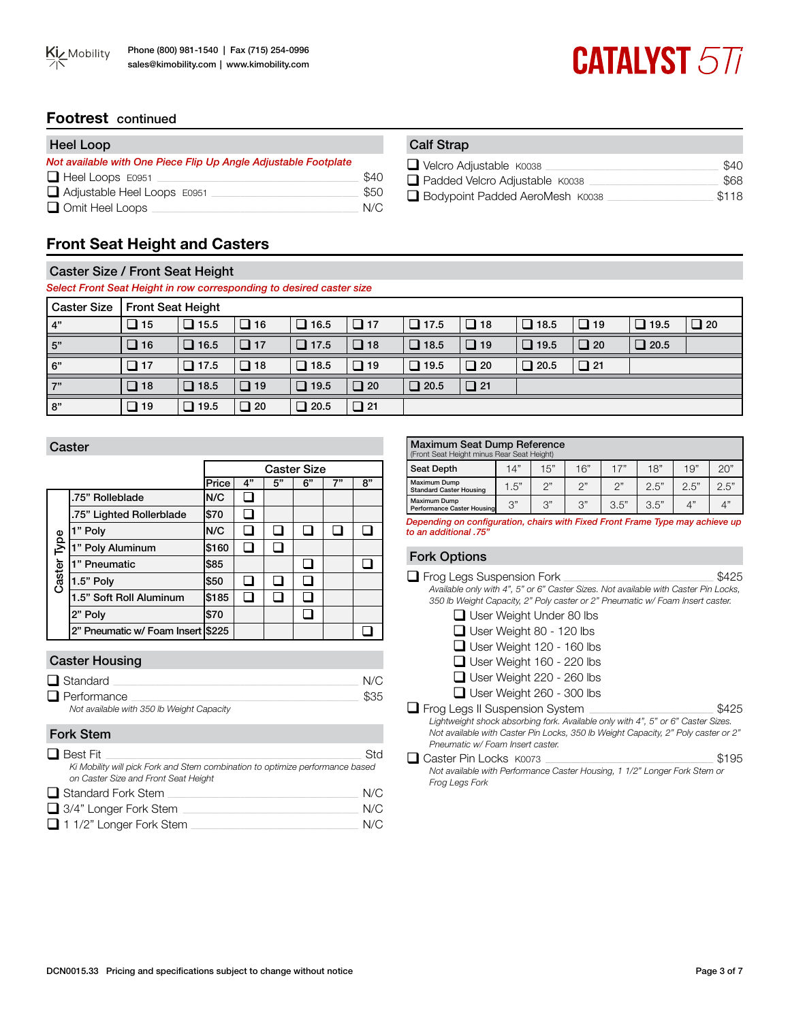# **CATALYST 577**

# **Footrest** continued

| Heel Loop                                                       |      | <b>Calf Strap</b> |
|-----------------------------------------------------------------|------|-------------------|
| Not available with One Piece Flip Up Angle Adjustable Footplate |      | $\Box$ Velcro Ac  |
| $\Box$ Heel Loops E0951                                         | \$40 | $\Box$ Padded \   |
| $\Box$ Adjustable Heel Loops $E0951$                            | \$50 | $\Box$ Bodypoir   |
| Omit Heel Loops                                                 | N/C  |                   |

| alf Strap               |  |
|-------------------------|--|
| Velcro Adjustable K0038 |  |

| $\Box$ Velcro Adjustable K0038  | \$40  |
|---------------------------------|-------|
| Padded Velcro Adjustable K0038  | \$68  |
| Bodypoint Padded AeroMesh K0038 | \$118 |

# **Front Seat Height and Casters**

# Caster Size / Front Seat Height

*Select Front Seat Height in row corresponding to desired caster size* 

| <b>Caster Size</b> | <b>Front Seat Height</b> |             |              |             |           |             |           |             |           |             |           |
|--------------------|--------------------------|-------------|--------------|-------------|-----------|-------------|-----------|-------------|-----------|-------------|-----------|
| 4"                 | $\Box$ 15                | $\Box$ 15.5 | $\Box$ 16    | $\Box$ 16.5 | $\Box$ 17 | $\Box$ 17.5 | $\Box$ 18 | $\Box$ 18.5 | $\Box$ 19 | $\Box$ 19.5 | $\Box$ 20 |
| 5"                 | $\Box$ 16                | $\Box$ 16.5 | $\Box$ 17    | $\Box$ 17.5 | $\Box$ 18 | $\Box$ 18.5 | $\Box$ 19 | $\Box$ 19.5 | $\Box$ 20 | $\Box$ 20.5 |           |
| 6"                 | $\Box$ 17                | $\Box$ 17.5 | $\Box$ 18    | $\Box$ 18.5 | $\Box$ 19 | $\Box$ 19.5 | $\Box$ 20 | $\Box$ 20.5 | $\Box$ 21 |             |           |
| 7"                 | $\Box$ 18                | $\Box$ 18.5 | $\Box$ 19    | $\Box$ 19.5 | $\Box$ 20 | $\Box$ 20.5 | $\Box$ 21 |             |           |             |           |
| l 8"               | $\Box$ 19                | $\Box$ 19.5 | $\square$ 20 | $\Box$ 20.5 | $\Box$ 21 |             |           |             |           |             |           |

|             |                                     | <b>Caster Size</b> |    |    |    |    |    |  |
|-------------|-------------------------------------|--------------------|----|----|----|----|----|--|
|             |                                     | Price              | 4" | 5" | 6" | 7" | 8" |  |
|             | .75" Rolleblade                     | N/C                |    |    |    |    |    |  |
|             | .75" Lighted Rollerblade            | \$70               |    |    |    |    |    |  |
| Caster Type | 1" Poly                             | N/C                |    |    |    |    |    |  |
|             | 1" Poly Aluminum                    | \$160              |    |    |    |    |    |  |
|             | 1" Pneumatic                        | \$85               |    |    |    |    |    |  |
|             | 1.5" Poly                           | \$50               |    |    |    |    |    |  |
|             | 1.5" Soft Roll Aluminum             | \$185              |    |    |    |    |    |  |
|             | 2" Poly                             | \$70               |    |    |    |    |    |  |
|             | 2" Pneumatic w/ Foam Insert   \$225 |                    |    |    |    |    |    |  |

# Caster Housing

| $\Box$ Standard                                               | N/C  |
|---------------------------------------------------------------|------|
| $\Box$ Performance                                            | \$35 |
| Not available with 350 lb Weight Capacity<br><b>Fork Stem</b> |      |

| $\Box$ Best Fit                                                                                                       | Std |
|-----------------------------------------------------------------------------------------------------------------------|-----|
| Ki Mobility will pick Fork and Stem combination to optimize performance based<br>on Caster Size and Front Seat Height |     |
| $\Box$ Standard Fork Stem                                                                                             | N/C |
| $\Box$ 3/4" Longer Fork Stem                                                                                          | N/C |
| $\Box$ 1 1/2" Longer Fork Stem                                                                                        | N/C |

| Maximum Seat Dump Reference<br>(Front Seat Height minus Rear Seat Height) |      |     |                 |      |      |            |      |
|---------------------------------------------------------------------------|------|-----|-----------------|------|------|------------|------|
| Seat Depth                                                                | 14"  | 15" | 16"             | 17"  | 18"  | 19"        | 20"  |
| <b>Maximum Dump</b><br><b>Standard Caster Housing</b>                     | 1.5" | つ"  | ን"              | 2"   | 2.5" | 2.5"       | 2.5" |
| Maximum Dump<br>Performance Caster Housing                                | 3"   | 3"  | $\mathcal{S}$ " | 3.5" | 3.5" | $\Delta$ " | Δ"   |

*Depending on configuration, chairs with Fixed Front Frame Type may achieve up to an additional .75"*

# Fork Options

| $\Box$ Frog Legs Suspension Fork                                                    | \$425 |
|-------------------------------------------------------------------------------------|-------|
| Available only with 4", 5" or 6" Caster Sizes. Not available with Caster Pin Locks, |       |
| 350 lb Weight Capacity, 2" Poly caster or 2" Pneumatic w/ Foam Insert caster.       |       |
| $\Box$ User Weight Under 80 lbs                                                     |       |
| $\Box$ User Weight 80 - 120 lbs                                                     |       |
| $\Box$ User Weight 120 - 160 lbs                                                    |       |

| $\Box$ User Weight 160 - 220 lbs                                                  |       |
|-----------------------------------------------------------------------------------|-------|
| $\Box$ User Weight 220 - 260 lbs                                                  |       |
| $\Box$ User Weight 260 - 300 lbs                                                  |       |
| $\Box$ Frog Legs II Suspension System                                             | \$425 |
| Lightweight shock absorbing fork. Available only with 4", 5" or 6" Caster Sizes.  |       |
| Not available with Caster Pin Locks, 350 lb Weight Capacity, 2" Poly caster or 2" |       |
| Pneumatic w/ Foam Insert caster.                                                  |       |
| □ Caster Pin Locks K0073                                                          | \$195 |

*Not available with Performance Caster Housing, 1 1/2" Longer Fork Stem or Frog Legs Fork*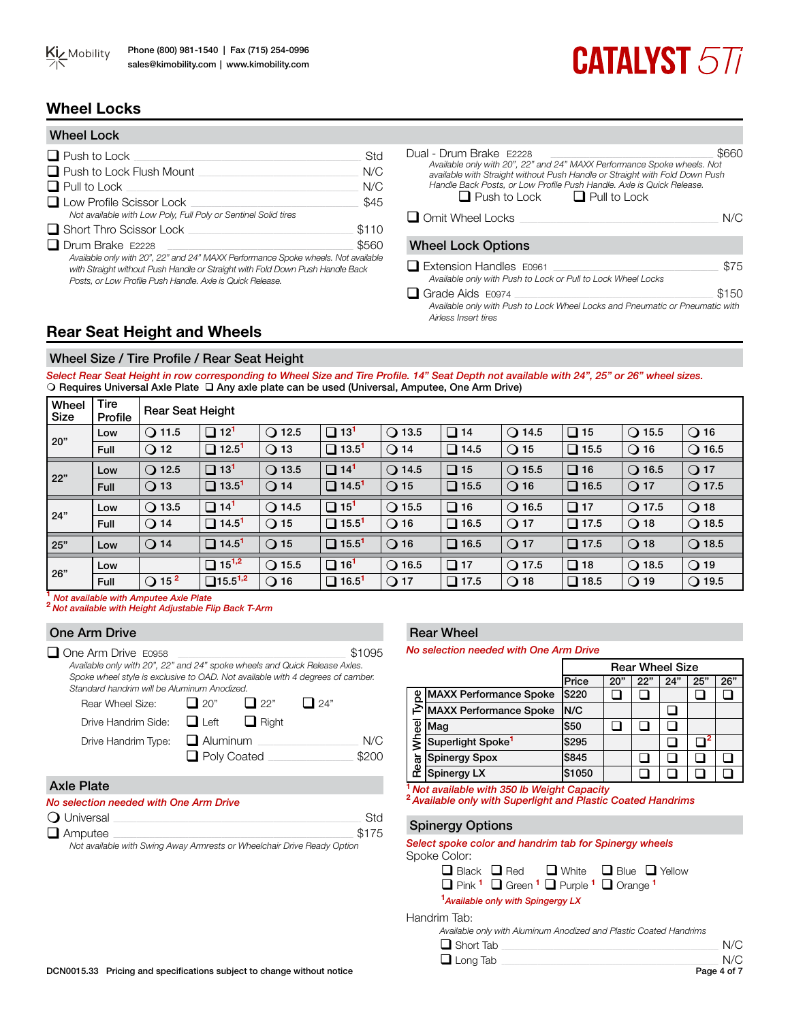

# **CATALYST 577**

# **Wheel Locks**

| <b>Wheel Lock</b>                                                                                                                                                                                                                                          |       |
|------------------------------------------------------------------------------------------------------------------------------------------------------------------------------------------------------------------------------------------------------------|-------|
| $\Box$ Push to Lock                                                                                                                                                                                                                                        | Std   |
| $\Box$ Push to Lock Flush Mount                                                                                                                                                                                                                            | N/C   |
| $\Box$ Pull to Lock                                                                                                                                                                                                                                        | N/C   |
| $\Box$ Low Profile Scissor Lock<br>Not available with Low Poly, Full Poly or Sentinel Solid tires                                                                                                                                                          | \$45  |
| $\Box$ Short Thro Scissor Lock                                                                                                                                                                                                                             | \$110 |
| $\Box$ Drum Brake F2228<br>Available only with 20", 22" and 24" MAXX Performance Spoke wheels. Not available<br>with Straight without Push Handle or Straight with Fold Down Push Handle Back<br>Posts, or Low Profile Push Handle, Axle is Quick Release. | \$560 |

| Dual - Drum Brake F2228<br>Available only with 20", 22" and 24" MAXX Performance Spoke wheels. Not<br>available with Straight without Push Handle or Straight with Fold Down Push<br>Handle Back Posts, or Low Profile Push Handle, Axle is Quick Release.<br>$\Box$ Push to Lock $\Box$ Pull to Lock |       |
|-------------------------------------------------------------------------------------------------------------------------------------------------------------------------------------------------------------------------------------------------------------------------------------------------------|-------|
| $\Box$ Omit Wheel Locks                                                                                                                                                                                                                                                                               | N/C   |
| <b>Wheel Lock Options</b>                                                                                                                                                                                                                                                                             |       |
| $\Box$ Extension Handles $E0961$<br>Available only with Push to Lock or Pull to Lock Wheel Locks                                                                                                                                                                                                      | \$75  |
| $\Box$ Grade Aids E0974                                                                                                                                                                                                                                                                               | \$150 |
| Available only with Push to Lock Wheel Locks and Pneumatic or Pneumatic with<br>Airless Insert tires                                                                                                                                                                                                  |       |

# **Rear Seat Height and Wheels**

# Wheel Size / Tire Profile / Rear Seat Height

*Select Rear Seat Height in row corresponding to Wheel Size and Tire Profile. 14" Seat Depth not available with 24", 25" or 26" wheel sizes.* O Requires Universal Axle Plate  $\square$  Any axle plate can be used (Universal, Amputee, One Arm Drive)

| Wheel<br>Size | Tire<br>Profile | <b>Rear Seat Height</b>    |                            |                 |                          |                 |                |                 |             |                 |                 |
|---------------|-----------------|----------------------------|----------------------------|-----------------|--------------------------|-----------------|----------------|-----------------|-------------|-----------------|-----------------|
| 20"           | Low             | $\bigcirc$ 11.5            | $\Box$ 12 <sup>1</sup>     | $\bigcirc$ 12.5 | □<br>13 <sup>1</sup>     | $\bigcirc$ 13.5 | $\Box$<br>14   | $\bigcirc$ 14.5 | $\Box$ 15   | $\bigcirc$ 15.5 | $\bigcirc$ 16   |
|               | Full            | $\bigcirc$ 12              | $\Box$ 12.5 <sup>1</sup>   | $\bigcirc$ 13   | $\Box$ 13.5 <sup>1</sup> | $\bigcirc$ 14   | $\Box$<br>14.5 | $\bigcirc$ 15   | $\Box$ 15.5 | $\bigcirc$ 16   | $\bigcirc$ 16.5 |
| 22"           | Low             | $Q$ 12.5                   | $\Box$ 13 <sup>1</sup>     | $\bigcirc$ 13.5 | □<br>14 <sup>1</sup>     | $\bigcirc$ 14.5 | $\Box$ 15      | $\bigcirc$ 15.5 | $\Box$ 16   | $\bigcirc$ 16.5 | $\bigcirc$ 17   |
|               | Full            | $\bigcirc$ 13              | $\Box$ 13.5 <sup>1</sup>   | $\bigcirc$ 14   | $\Box$ 14.5 <sup>1</sup> | $\bigcirc$ 15   | $\Box$ 15.5    | $Q$ 16          | $\Box$ 16.5 | $\bigcirc$ 17   | $\bigcirc$ 17.5 |
| 24"           | Low             | $\bigcirc$ 13.5            | $\Box$ 14 <sup>1</sup>     | $\bigcirc$ 14.5 | $15^{1}$<br>❏            | $\bigcirc$ 15.5 | $\Box$ 16      | $\bigcirc$ 16.5 | $\Box$ 17   | $Q$ 17.5        | $Q$ 18          |
|               | Full            | $\bigcirc$ 14              | $\Box$ 14.5 <sup>1</sup>   | $\bigcirc$ 15   | $\Box$ 15.5 <sup>1</sup> | $\bigcirc$ 16   | $\Box$ 16.5    | $\bigcirc$ 17   | $\Box$ 17.5 | $Q$ 18          | $\bigcirc$ 18.5 |
| 25"           | Low             | $\bigcirc$ 14              | $\Box$ 14.5 <sup>1</sup>   | $\bigcirc$ 15   | $\Box$ 15.5 <sup>1</sup> | $\bigcirc$ 16   | $\Box$ 16.5    | $Q$ 17          | $\Box$ 17.5 | $Q$ 18          | $Q$ 18.5        |
| 26"           | Low             |                            | $\Box$ 15 <sup>1,2</sup>   | $\bigcirc$ 15.5 | $\Box$ 16 <sup>1</sup>   | $\bigcirc$ 16.5 | $\Box$ 17      | $Q$ 17.5        | $\Box$ 18   | $Q$ 18.5        | $Q$ 19          |
|               | Full            | $\bigcirc$ 15 <sup>2</sup> | $\Box$ 15.5 <sup>1,2</sup> | $\bigcirc$ 16   | $\Box$ 16.5 <sup>1</sup> | $\bigcirc$ 17   | $\Box$ 17.5    | $Q$ 18          | $\Box$ 18.5 | $\bigcirc$ 19   | $\bigcirc$ 19.5 |
|               |                 |                            |                            |                 |                          |                 |                |                 |             |                 |                 |

One Arm Drive

**<sup>1</sup>** *Not available with Amputee Axle Plate* **<sup>2</sup>***Not available with Height Adjustable Flip Back T-Arm*

| One Arm Drive                                                                                                                                                                                                                             |                    |            |            |        |
|-------------------------------------------------------------------------------------------------------------------------------------------------------------------------------------------------------------------------------------------|--------------------|------------|------------|--------|
| $\Box$ One Arm Drive E0958<br>Available only with 20", 22" and 24" spoke wheels and Quick Release Axles.<br>Spoke wheel style is exclusive to OAD. Not available with 4 degrees of camber.<br>Standard handrim will be Aluminum Anodized. |                    |            |            | \$1095 |
| Rear Wheel Size:                                                                                                                                                                                                                          | $\Box$ 20"         | $\Box$ 22" | $\Box$ 24" |        |
| Drive Handrim Side:                                                                                                                                                                                                                       | $\Box$ Left        | Right      |            |        |
| Drive Handrim Type:                                                                                                                                                                                                                       | $\Box$ Aluminum    |            |            | N/C    |
|                                                                                                                                                                                                                                           | $\Box$ Poly Coated |            |            |        |
|                                                                                                                                                                                                                                           |                    |            |            |        |

#### Axle Plate

#### *No selection needed with One Arm Drive*

| $\Omega$ Universal                                                      | Std   |
|-------------------------------------------------------------------------|-------|
| $\Box$ Amputee                                                          | \$175 |
| Not available with Swing Away Armrests or Wheelchair Drive Ready Option |       |

# Rear Wheel

*No selection needed with One Arm Drive*

|       |                               | <b>Rear Wheel Size</b> |     |     |     |     |     |  |
|-------|-------------------------------|------------------------|-----|-----|-----|-----|-----|--|
|       |                               | Price                  | 20" | 22" | 24" | 25" | 26" |  |
| Туре  | <b>MAXX Performance Spoke</b> | \$220                  |     |     |     |     |     |  |
|       | <b>MAXX Performance Spoke</b> | N/C                    |     |     |     |     |     |  |
|       | Maq                           | \$50                   |     |     |     |     |     |  |
| Wheel | Superlight Spoke <sup>1</sup> | \$295                  |     |     |     |     |     |  |
| Rear  | Spinergy Spox                 | \$845                  |     |     |     |     |     |  |
|       | Spinergy LX                   | \$1050                 |     |     |     |     |     |  |

**<sup>1</sup>***Not available with 350 lb Weight Capacity*

**<sup>2</sup>***Available only with Superlight and Plastic Coated Handrims*

#### Spinergy Options

#### *Select spoke color and handrim tab for Spinergy wheels* Spoke Color:

|  | $\Box$ Black $\Box$ Red $\Box$ White $\Box$ Blue $\Box$ Yellow |  |
|--|----------------------------------------------------------------|--|
|  |                                                                |  |

q Pink **<sup>1</sup>** q Green **<sup>1</sup>** q Purple **<sup>1</sup>** q Orange **<sup>1</sup> 1** *Available only with Spingergy LX*

Handrim Tab:

*Available only with Aluminum Anodized and Plastic Coated Handrims*

| $\sim$ was able only marriaged and and matter of the component $\sim$ |              |
|-----------------------------------------------------------------------|--------------|
| $\Box$ Short Tab                                                      | N/C          |
| $\Box$ Long Tab                                                       | N/C          |
|                                                                       | $Dao A of 7$ |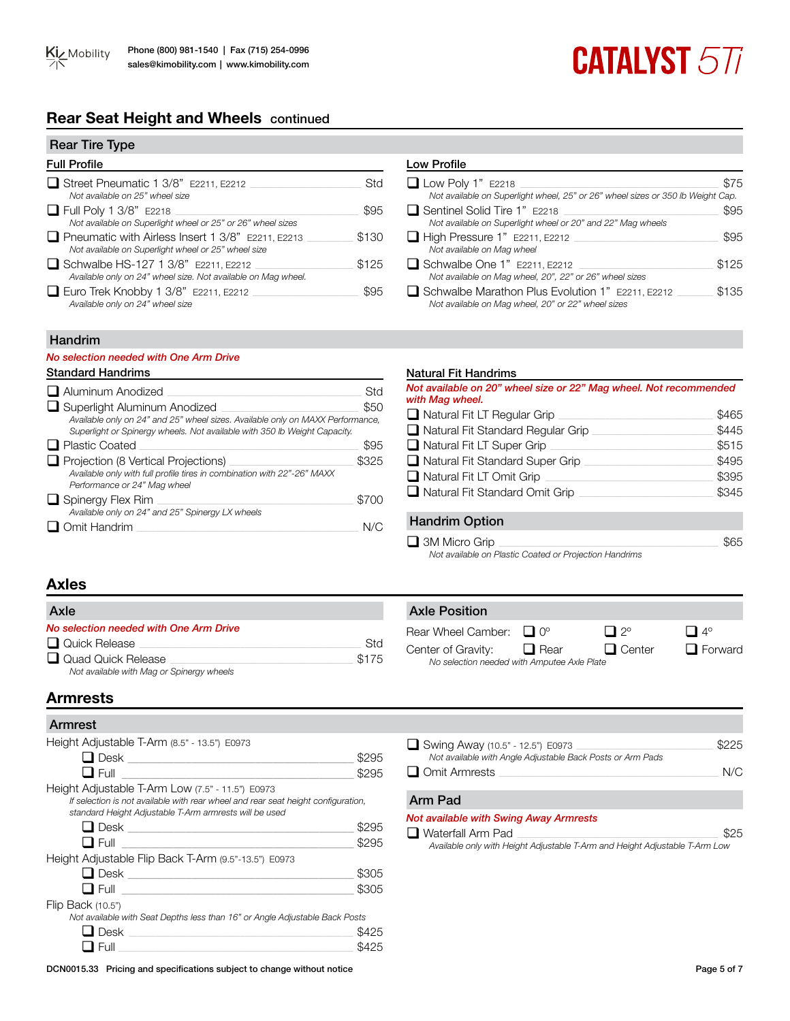# **Rear Seat Height and Wheels** continued

| <b>Rear Tire Type</b>                                                                                           |       |
|-----------------------------------------------------------------------------------------------------------------|-------|
| <b>Full Profile</b>                                                                                             |       |
| $\Box$ Street Pneumatic 1 3/8" E2211, E2212<br>Not available on 25" wheel size                                  | Std   |
| $\Box$ Full Poly 1 3/8" E2218<br>Not available on Superlight wheel or 25" or 26" wheel sizes                    | \$95  |
| $\Box$ Pneumatic with Airless Insert 1 3/8" E2211, E2213<br>Not available on Superlight wheel or 25" wheel size | \$130 |
| Schwalbe HS-127 1 3/8" E2211, E2212<br>Available only on 24" wheel size. Not available on Mag wheel.            | \$125 |
| $\Box$ Euro Trek Knobby 1 3/8" E2211, E2212<br>Available only on 24" wheel size                                 | \$95  |

# Low Profile

| $\Box$ Low Poly 1" E2218                                                                               | \$75  |
|--------------------------------------------------------------------------------------------------------|-------|
| Not available on Superlight wheel, 25" or 26" wheel sizes or 350 lb Weight Cap.                        |       |
| $\Box$ Sentinel Solid Tire 1" E2218                                                                    | \$95  |
| Not available on Superlight wheel or 20" and 22" Mag wheels                                            |       |
| $\Box$ High Pressure 1" E2211, E2212<br>Not available on Mag wheel                                     | \$95  |
| $\Box$ Schwalbe One 1" E2211, E2212<br>Not available on Mag wheel, 20", 22" or 26" wheel sizes         | \$125 |
| Schwalbe Marathon Plus Evolution 1" E2211, E2212<br>Not available on Mag wheel, 20" or 22" wheel sizes | \$135 |
|                                                                                                        |       |

**CATALYST 577** 

# Handrim

#### *No selection needed with One Arm Drive*

| $\Box$ Aluminum Anodized                                                                                                                                                                           | Std   |
|----------------------------------------------------------------------------------------------------------------------------------------------------------------------------------------------------|-------|
| $\Box$ Superlight Aluminum Anodized<br>Available only on 24" and 25" wheel sizes. Available only on MAXX Performance,<br>Superlight or Spinergy wheels. Not available with 350 lb Weight Capacity. | \$50  |
| $\Box$ Plastic Coated                                                                                                                                                                              | \$95  |
| $\Box$ Projection (8 Vertical Projections)                                                                                                                                                         | \$325 |
| Available only with full profile tires in combination with 22"-26" MAXX<br>Performance or 24" Mag wheel                                                                                            |       |
| $\Box$ Spinergy Flex Rim                                                                                                                                                                           | \$700 |
| Available only on 24" and 25" Spinergy LX wheels                                                                                                                                                   |       |
| Omit Handrim                                                                                                                                                                                       |       |

#### Standard Handrims Natural Fit Handrims Natural Fit Handrims

| Not available on 20" wheel size or 22" Mag wheel. Not recommended<br>with Mag wheel. |       |
|--------------------------------------------------------------------------------------|-------|
| $\Box$ Natural Fit LT Regular Grip                                                   | \$465 |
| $\Box$ Natural Fit Standard Regular Grip                                             | \$445 |

| $\Box$ Natural Fit LT Super Grip       | \$515 |
|----------------------------------------|-------|
| $\Box$ Natural Fit Standard Super Grip | \$495 |
| $\Box$ Natural Fit LT Omit Grip        | \$395 |
| $\Box$ Natural Fit Standard Omit Grip  | \$345 |
|                                        |       |

# Handrim Option

q 3M Micro Grip \_\_\_\_\_\_\_\_\_\_\_\_\_\_\_\_\_\_\_\_\_\_\_\_\_\_\_\_\_\_\_\_\_\_\_\_\_\_\_\_\_\_\_\_\_\_\_\_\_\_\_\_\_\_\_\_\_\_\_\_\_\_\_\_\_\_\_\_\_\_\_\_\_\_\_\_\_\_\_\_\_\_\_\_\_ \$65

Axle Position

*Not available on Plastic Coated or Projection Handrims*

*No selection needed with Amputee Axle Plate*

# **Axles**

| Axle                                      |       |
|-------------------------------------------|-------|
| No selection needed with One Arm Drive    |       |
| Quick Release                             | Std   |
| Quad Quick Release                        | \$175 |
| Not available with Mag or Spinergy wheels |       |

# **Armrests**

# Armrest

| Height Adjustable T-Arm (8.5" - 13.5") E0973                                                                                                                                                    |       |
|-------------------------------------------------------------------------------------------------------------------------------------------------------------------------------------------------|-------|
| <b>コ</b> Desk ______________                                                                                                                                                                    | \$295 |
| $\Box$ Full                                                                                                                                                                                     | \$295 |
| Height Adjustable T-Arm Low (7.5" - 11.5") E0973<br>If selection is not available with rear wheel and rear seat height configuration,<br>standard Height Adjustable T-Arm armrests will be used |       |
|                                                                                                                                                                                                 | \$295 |
| $\Box$ Full                                                                                                                                                                                     | \$295 |
| Height Adjustable Flip Back T-Arm (9.5"-13.5") E0973                                                                                                                                            |       |
| $\Box$ Desk $\Box$ Desk $\Box$ Desk $\Box$                                                                                                                                                      | \$305 |
| $\blacksquare$ Full $\blacksquare$                                                                                                                                                              | \$305 |
| Flip Back (10.5")                                                                                                                                                                               |       |
| Not available with Seat Depths less than 16" or Angle Adjustable Back Posts                                                                                                                     |       |
| <b>Desk</b>                                                                                                                                                                                     | \$425 |
| Full                                                                                                                                                                                            |       |

| $\Box$ Swing Away (10.5" - 12.5") E0973                    | \$225 |
|------------------------------------------------------------|-------|
| Not available with Angle Adjustable Back Posts or Arm Pads |       |
| $\Box$ Omit Armrests                                       | N/C   |
|                                                            |       |

Rear Wheel Camber:  $\Box$  0°  $\Box$  2°  $\Box$  4° Center of Gravity:  $\Box$  Rear  $\Box$  Center  $\Box$  Forward

# Arm Pad

### *Not available with Swing Away Armrests*

 $\Box$  Waterfall Arm Pad

*Available only with Height Adjustable T-Arm and Height Adjustable T-Arm Low*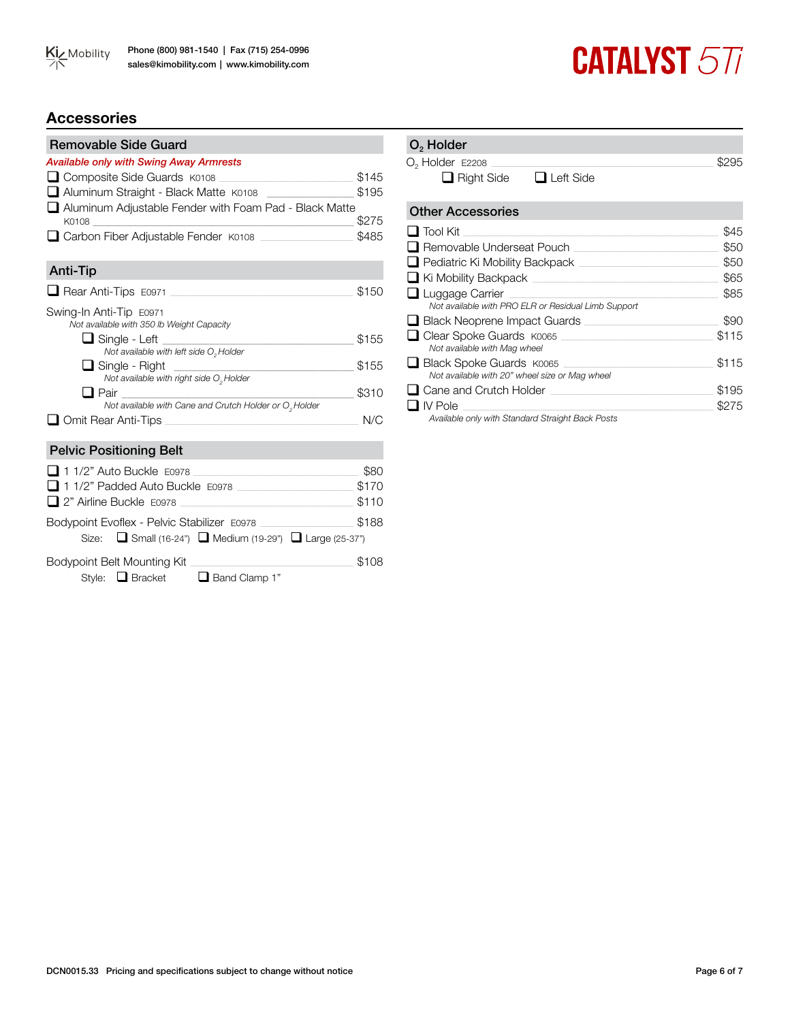

# **CATALYST 577**

# **Accessories**

| <b>Removable Side Guard</b>                                                                                                                                                                         |       |
|-----------------------------------------------------------------------------------------------------------------------------------------------------------------------------------------------------|-------|
| <b>Available only with Swing Away Armrests</b>                                                                                                                                                      |       |
| □ Composite Side Guards K0108                                                                                                                                                                       | \$145 |
| Aluminum Straight - Black Matte K0108 _______________                                                                                                                                               | \$195 |
| Aluminum Adjustable Fender with Foam Pad - Black Matte                                                                                                                                              |       |
| K0108 2001 12:00                                                                                                                                                                                    | \$275 |
| Carbon Fiber Adjustable Fender K0108                                                                                                                                                                | \$485 |
| <b>Anti-Tip</b>                                                                                                                                                                                     |       |
| $\Box$ Rear Anti-Tips $E0971$                                                                                                                                                                       | \$150 |
| Swing-In Anti-Tip E0971                                                                                                                                                                             |       |
| Not available with 350 lb Weight Capacity                                                                                                                                                           |       |
| <b>□</b> Single - Left <u>________________</u>                                                                                                                                                      | \$155 |
| Not available with left side O <sub>2</sub> Holder                                                                                                                                                  |       |
| $\Box$ Single - Right<br><u> 1999 - John Harry Harry Harry Harry Harry Harry Harry Harry Harry Harry Harry Harry Harry Harry Harry Harry</u><br>Not available with right side O <sub>2</sub> Holder | \$155 |
| $\Box$ Pair                                                                                                                                                                                         | \$310 |
| Not available with Cane and Crutch Holder or O <sub>2</sub> Holder                                                                                                                                  |       |
| $\Box$ Omit Rear Anti-Tips                                                                                                                                                                          | N/C   |
|                                                                                                                                                                                                     |       |
| <b>Pelvic Positioning Belt</b>                                                                                                                                                                      |       |
| 1 1/2" Auto Buckle E0978                                                                                                                                                                            | \$80  |
| 11/2" Padded Auto Buckle E0978                                                                                                                                                                      | \$170 |
| 2" Airline Buckle E0978                                                                                                                                                                             | \$110 |
| Bodypoint Evoflex - Pelvic Stabilizer E0978                                                                                                                                                         | \$188 |
| Size: <b>■</b> Small (16-24") ■ Medium (19-29") ■ Large (25-37")                                                                                                                                    |       |
| Bodypoint Belt Mounting Kit                                                                                                                                                                         | \$108 |
| Style: Bracket <b>B</b> Band Clamp 1"                                                                                                                                                               |       |

# Other Accessories q Tool Kit \_\_\_\_\_\_\_\_\_\_\_\_\_\_\_\_\_\_\_\_\_\_\_\_\_\_\_\_\_\_\_\_\_\_\_\_\_\_\_\_\_\_\_\_\_\_\_\_\_\_\_\_\_\_\_\_\_\_\_\_\_\_\_\_\_\_\_\_\_\_\_\_\_\_\_\_\_\_\_\_\_\_\_\_\_\_\_\_\_\_\_\_\_\_\_\_\_\_\_ \$45 q Removable Underseat Pouch \_\_\_\_\_\_\_\_\_\_\_\_\_\_\_\_\_\_\_\_\_\_\_\_\_\_\_\_\_\_\_\_\_\_\_\_\_\_\_\_\_\_\_\_\_\_\_\_\_\_\_\_\_\_\_\_ \$50 q Pediatric Ki Mobility Backpack \_\_\_\_\_\_\_\_\_\_\_\_\_\_\_\_\_\_\_\_\_\_\_\_\_\_\_\_\_\_\_\_\_\_\_\_\_\_\_\_\_\_\_\_\_\_\_\_\_\_\_\_\_\_ \$50 <p>■ Ki Mobility Backpack</p>\n<p>□ LUqqade Carrier</p>\n<p>③</p>  $\Box$  Luggage Carrier *Not available with PRO ELR or Residual Limb Support* q Black Neoprene Impact Guards \_\_\_\_\_\_\_\_\_\_\_\_\_\_\_\_\_\_\_\_\_\_\_\_\_\_\_\_\_\_\_\_\_\_\_\_\_\_\_\_\_\_\_\_\_\_\_\_\_\_\_\_ \$90 □ Clear Spoke Guards K0065 <br>
□ Clear Spoke Guards K0065 *Not available with Mag wheel* **Q** Black Spoke Guards K0065 **Example 2018** \$115 *Not available with 20" wheel size or Mag wheel* q Cane and Crutch Holder \_\_\_\_\_\_\_\_\_\_\_\_\_\_\_\_\_\_\_\_\_\_\_\_\_\_\_\_\_\_\_\_\_\_\_\_\_\_\_\_\_\_\_\_\_\_\_\_\_\_\_\_\_\_\_\_\_\_\_\_\_\_\_ \$195  $\Box$  IV Pole *Available only with Standard Straight Back Posts*  $O<sub>2</sub>$  Holder  $O_2$  Holder E2208  $\Box$ <br>  $\Box$  Right Side  $\Box$  Left Side  $\Box$  Right Side